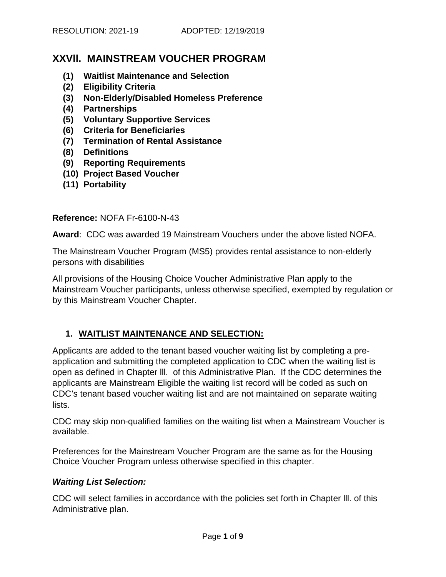# **XXVll. MAINSTREAM VOUCHER PROGRAM**

- **(1) Waitlist Maintenance and Selection**
- **(2) Eligibility Criteria**
- **(3) Non-Elderly/Disabled Homeless Preference**
- **(4) Partnerships**
- **(5) Voluntary Supportive Services**
- **(6) Criteria for Beneficiaries**
- **(7) Termination of Rental Assistance**
- **(8) Definitions**
- **(9) Reporting Requirements**
- **(10) Project Based Voucher**
- **(11) Portability**

#### **Reference:** NOFA Fr-6100-N-43

**Award**: CDC was awarded 19 Mainstream Vouchers under the above listed NOFA.

The Mainstream Voucher Program (MS5) provides rental assistance to non-elderly persons with disabilities

All provisions of the Housing Choice Voucher Administrative Plan apply to the Mainstream Voucher participants, unless otherwise specified, exempted by regulation or by this Mainstream Voucher Chapter.

### **1. WAITLIST MAINTENANCE AND SELECTION:**

Applicants are added to the tenant based voucher waiting list by completing a preapplication and submitting the completed application to CDC when the waiting list is open as defined in Chapter lll. of this Administrative Plan. If the CDC determines the applicants are Mainstream Eligible the waiting list record will be coded as such on CDC's tenant based voucher waiting list and are not maintained on separate waiting lists.

CDC may skip non-qualified families on the waiting list when a Mainstream Voucher is available.

Preferences for the Mainstream Voucher Program are the same as for the Housing Choice Voucher Program unless otherwise specified in this chapter.

### *Waiting List Selection:*

CDC will select families in accordance with the policies set forth in Chapter lll. of this Administrative plan.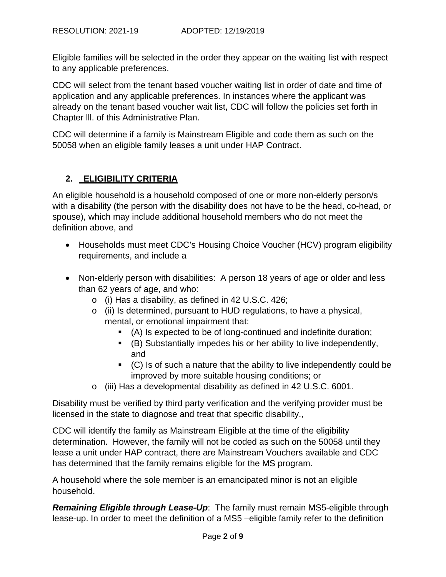Eligible families will be selected in the order they appear on the waiting list with respect to any applicable preferences.

CDC will select from the tenant based voucher waiting list in order of date and time of application and any applicable preferences. In instances where the applicant was already on the tenant based voucher wait list, CDC will follow the policies set forth in Chapter lll. of this Administrative Plan.

CDC will determine if a family is Mainstream Eligible and code them as such on the 50058 when an eligible family leases a unit under HAP Contract.

## **2. ELIGIBILITY CRITERIA**

An eligible household is a household composed of one or more non-elderly person/s with a disability (the person with the disability does not have to be the head, co-head, or spouse), which may include additional household members who do not meet the definition above, and

- Households must meet CDC's Housing Choice Voucher (HCV) program eligibility requirements, and include a
- Non-elderly person with disabilities: A person 18 years of age or older and less than 62 years of age, and who:
	- o (i) Has a disability, as defined in 42 U.S.C. 426;
	- o (ii) Is determined, pursuant to HUD regulations, to have a physical, mental, or emotional impairment that:
		- (A) Is expected to be of long-continued and indefinite duration;
		- (B) Substantially impedes his or her ability to live independently, and
		- (C) Is of such a nature that the ability to live independently could be improved by more suitable housing conditions; or
	- o (iii) Has a developmental disability as defined in 42 U.S.C. 6001.

Disability must be verified by third party verification and the verifying provider must be licensed in the state to diagnose and treat that specific disability.,

CDC will identify the family as Mainstream Eligible at the time of the eligibility determination. However, the family will not be coded as such on the 50058 until they lease a unit under HAP contract, there are Mainstream Vouchers available and CDC has determined that the family remains eligible for the MS program.

A household where the sole member is an emancipated minor is not an eligible household.

*Remaining Eligible through Lease-Up*: The family must remain MS5-eligible through lease-up. In order to meet the definition of a MS5 –eligible family refer to the definition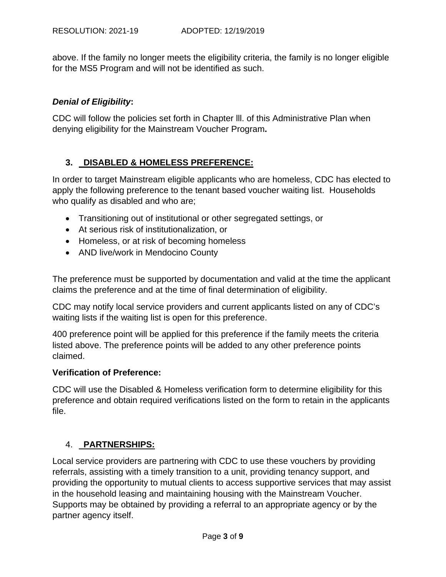above. If the family no longer meets the eligibility criteria, the family is no longer eligible for the MS5 Program and will not be identified as such.

### *Denial of Eligibility***:**

CDC will follow the policies set forth in Chapter lll. of this Administrative Plan when denying eligibility for the Mainstream Voucher Program**.** 

### **3. DISABLED & HOMELESS PREFERENCE:**

In order to target Mainstream eligible applicants who are homeless, CDC has elected to apply the following preference to the tenant based voucher waiting list. Households who qualify as disabled and who are;

- Transitioning out of institutional or other segregated settings, or
- At serious risk of institutionalization, or
- Homeless, or at risk of becoming homeless
- AND live/work in Mendocino County

The preference must be supported by documentation and valid at the time the applicant claims the preference and at the time of final determination of eligibility.

CDC may notify local service providers and current applicants listed on any of CDC's waiting lists if the waiting list is open for this preference.

400 preference point will be applied for this preference if the family meets the criteria listed above. The preference points will be added to any other preference points claimed.

### **Verification of Preference:**

CDC will use the Disabled & Homeless verification form to determine eligibility for this preference and obtain required verifications listed on the form to retain in the applicants file.

### 4. **PARTNERSHIPS:**

Local service providers are partnering with CDC to use these vouchers by providing referrals, assisting with a timely transition to a unit, providing tenancy support, and providing the opportunity to mutual clients to access supportive services that may assist in the household leasing and maintaining housing with the Mainstream Voucher. Supports may be obtained by providing a referral to an appropriate agency or by the partner agency itself.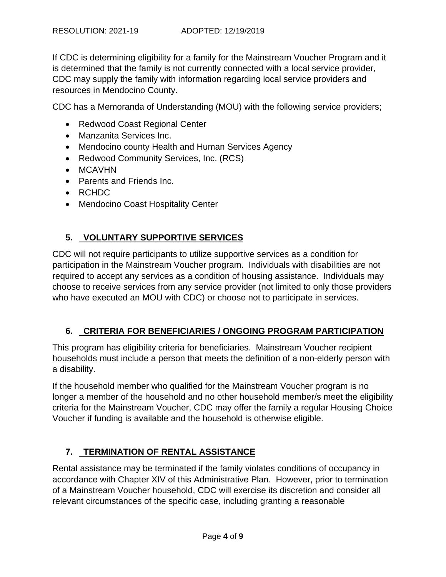If CDC is determining eligibility for a family for the Mainstream Voucher Program and it is determined that the family is not currently connected with a local service provider, CDC may supply the family with information regarding local service providers and resources in Mendocino County.

CDC has a Memoranda of Understanding (MOU) with the following service providers;

- Redwood Coast Regional Center
- Manzanita Services Inc.
- Mendocino county Health and Human Services Agency
- Redwood Community Services, Inc. (RCS)
- MCAVHN
- Parents and Friends Inc.
- RCHDC
- Mendocino Coast Hospitality Center

## **5. VOLUNTARY SUPPORTIVE SERVICES**

CDC will not require participants to utilize supportive services as a condition for participation in the Mainstream Voucher program. Individuals with disabilities are not required to accept any services as a condition of housing assistance. Individuals may choose to receive services from any service provider (not limited to only those providers who have executed an MOU with CDC) or choose not to participate in services.

### **6. CRITERIA FOR BENEFICIARIES / ONGOING PROGRAM PARTICIPATION**

This program has eligibility criteria for beneficiaries. Mainstream Voucher recipient households must include a person that meets the definition of a non-elderly person with a disability.

If the household member who qualified for the Mainstream Voucher program is no longer a member of the household and no other household member/s meet the eligibility criteria for the Mainstream Voucher, CDC may offer the family a regular Housing Choice Voucher if funding is available and the household is otherwise eligible.

# **7. TERMINATION OF RENTAL ASSISTANCE**

Rental assistance may be terminated if the family violates conditions of occupancy in accordance with Chapter XIV of this Administrative Plan. However, prior to termination of a Mainstream Voucher household, CDC will exercise its discretion and consider all relevant circumstances of the specific case, including granting a reasonable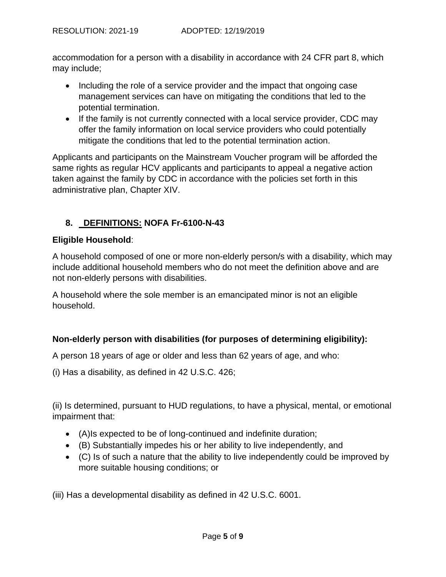accommodation for a person with a disability in accordance with 24 CFR part 8, which may include;

- Including the role of a service provider and the impact that ongoing case management services can have on mitigating the conditions that led to the potential termination.
- If the family is not currently connected with a local service provider, CDC may offer the family information on local service providers who could potentially mitigate the conditions that led to the potential termination action.

Applicants and participants on the Mainstream Voucher program will be afforded the same rights as regular HCV applicants and participants to appeal a negative action taken against the family by CDC in accordance with the policies set forth in this administrative plan, Chapter XIV.

### **8. DEFINITIONS: NOFA Fr-6100-N-43**

### **Eligible Household**:

A household composed of one or more non-elderly person/s with a disability, which may include additional household members who do not meet the definition above and are not non-elderly persons with disabilities.

A household where the sole member is an emancipated minor is not an eligible household.

### **Non-elderly person with disabilities (for purposes of determining eligibility):**

A person 18 years of age or older and less than 62 years of age, and who:

(i) Has a disability, as defined in 42 U.S.C. 426;

(ii) Is determined, pursuant to HUD regulations, to have a physical, mental, or emotional impairment that:

- (A)Is expected to be of long-continued and indefinite duration;
- (B) Substantially impedes his or her ability to live independently, and
- (C) Is of such a nature that the ability to live independently could be improved by more suitable housing conditions; or

(iii) Has a developmental disability as defined in 42 U.S.C. 6001.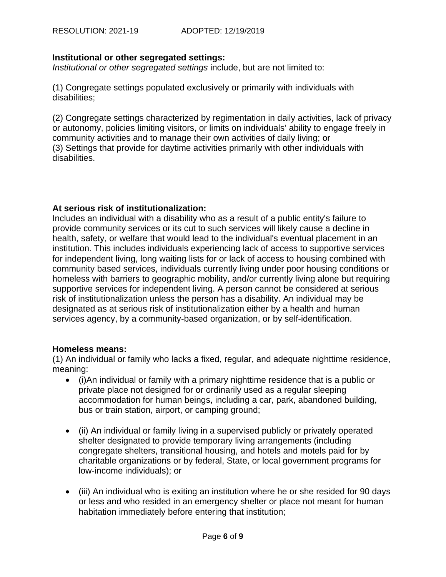### **Institutional or other segregated settings:**

*Institutional or other segregated settings* include, but are not limited to:

(1) Congregate settings populated exclusively or primarily with individuals with disabilities;

(2) Congregate settings characterized by regimentation in daily activities, lack of privacy or autonomy, policies limiting visitors, or limits on individuals' ability to engage freely in community activities and to manage their own activities of daily living; or (3) Settings that provide for daytime activities primarily with other individuals with disabilities.

### **At serious risk of institutionalization:**

Includes an individual with a disability who as a result of a public entity's failure to provide community services or its cut to such services will likely cause a decline in health, safety, or welfare that would lead to the individual's eventual placement in an institution. This includes individuals experiencing lack of access to supportive services for independent living, long waiting lists for or lack of access to housing combined with community based services, individuals currently living under poor housing conditions or homeless with barriers to geographic mobility, and/or currently living alone but requiring supportive services for independent living. A person cannot be considered at serious risk of institutionalization unless the person has a disability. An individual may be designated as at serious risk of institutionalization either by a health and human services agency, by a community-based organization, or by self-identification.

### **Homeless means:**

(1) An individual or family who lacks a fixed, regular, and adequate nighttime residence, meaning:

- (i)An individual or family with a primary nighttime residence that is a public or private place not designed for or ordinarily used as a regular sleeping accommodation for human beings, including a car, park, abandoned building, bus or train station, airport, or camping ground;
- (ii) An individual or family living in a supervised publicly or privately operated shelter designated to provide temporary living arrangements (including congregate shelters, transitional housing, and hotels and motels paid for by charitable organizations or by federal, State, or local government programs for low-income individuals); or
- (iii) An individual who is exiting an institution where he or she resided for 90 days or less and who resided in an emergency shelter or place not meant for human habitation immediately before entering that institution;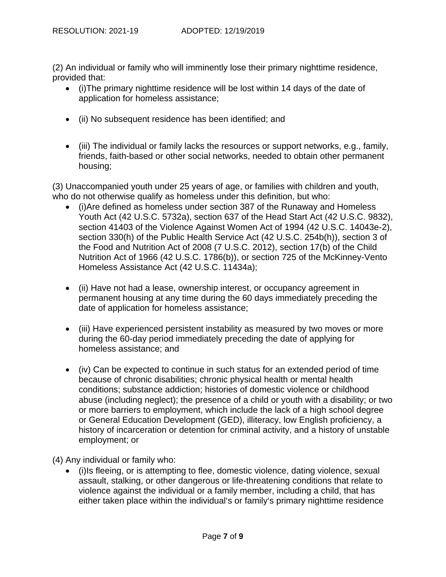(2) An individual or family who will imminently lose their primary nighttime residence, provided that:

- (i)The primary nighttime residence will be lost within 14 days of the date of application for homeless assistance;
- (ii) No subsequent residence has been identified; and
- (iii) The individual or family lacks the resources or support networks, e.g., family, friends, faith-based or other social networks, needed to obtain other permanent housing;

(3) Unaccompanied youth under 25 years of age, or families with children and youth, who do not otherwise qualify as homeless under this definition, but who:

- (i)Are defined as homeless under section 387 of the Runaway and Homeless Youth Act (42 U.S.C. 5732a), section 637 of the Head Start Act (42 U.S.C. 9832), section 41403 of the Violence Against Women Act of 1994 (42 U.S.C. 14043e-2), section 330(h) of the Public Health Service Act (42 U.S.C. 254b(h)), section 3 of the Food and Nutrition Act of 2008 (7 U.S.C. 2012), section 17(b) of the Child Nutrition Act of 1966 (42 U.S.C. 1786(b)), or section 725 of the McKinney-Vento Homeless Assistance Act (42 U.S.C. 11434a);
- (ii) Have not had a lease, ownership interest, or occupancy agreement in permanent housing at any time during the 60 days immediately preceding the date of application for homeless assistance;
- (iii) Have experienced persistent instability as measured by two moves or more during the 60-day period immediately preceding the date of applying for homeless assistance; and
- (iv) Can be expected to continue in such status for an extended period of time because of chronic disabilities; chronic physical health or mental health conditions; substance addiction; histories of domestic violence or childhood abuse (including neglect); the presence of a child or youth with a disability; or two or more barriers to employment, which include the lack of a high school degree or General Education Development (GED), illiteracy, low English proficiency, a history of incarceration or detention for criminal activity, and a history of unstable employment; or

(4) Any individual or family who:

 (i)Is fleeing, or is attempting to flee, domestic violence, dating violence, sexual assault, stalking, or other dangerous or life-threatening conditions that relate to violence against the individual or a family member, including a child, that has either taken place within the individual's or family's primary nighttime residence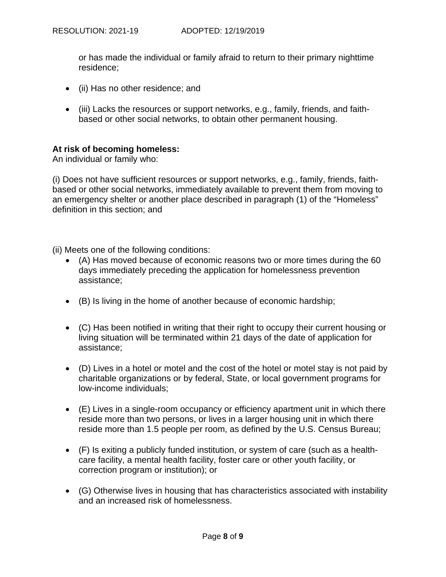or has made the individual or family afraid to return to their primary nighttime residence;

- (ii) Has no other residence; and
- (iii) Lacks the resources or support networks, e.g., family, friends, and faithbased or other social networks, to obtain other permanent housing.

### **At risk of becoming homeless:**

An individual or family who:

(i) Does not have sufficient resources or support networks, e.g., family, friends, faithbased or other social networks, immediately available to prevent them from moving to an emergency shelter or another place described in paragraph (1) of the "Homeless" definition in this section; and

(ii) Meets one of the following conditions:

- (A) Has moved because of economic reasons two or more times during the 60 days immediately preceding the application for homelessness prevention assistance;
- (B) Is living in the home of another because of economic hardship;
- (C) Has been notified in writing that their right to occupy their current housing or living situation will be terminated within 21 days of the date of application for assistance;
- (D) Lives in a hotel or motel and the cost of the hotel or motel stay is not paid by charitable organizations or by federal, State, or local government programs for low-income individuals;
- (E) Lives in a single-room occupancy or efficiency apartment unit in which there reside more than two persons, or lives in a larger housing unit in which there reside more than 1.5 people per room, as defined by the U.S. Census Bureau;
- (F) Is exiting a publicly funded institution, or system of care (such as a healthcare facility, a mental health facility, foster care or other youth facility, or correction program or institution); or
- (G) Otherwise lives in housing that has characteristics associated with instability and an increased risk of homelessness.